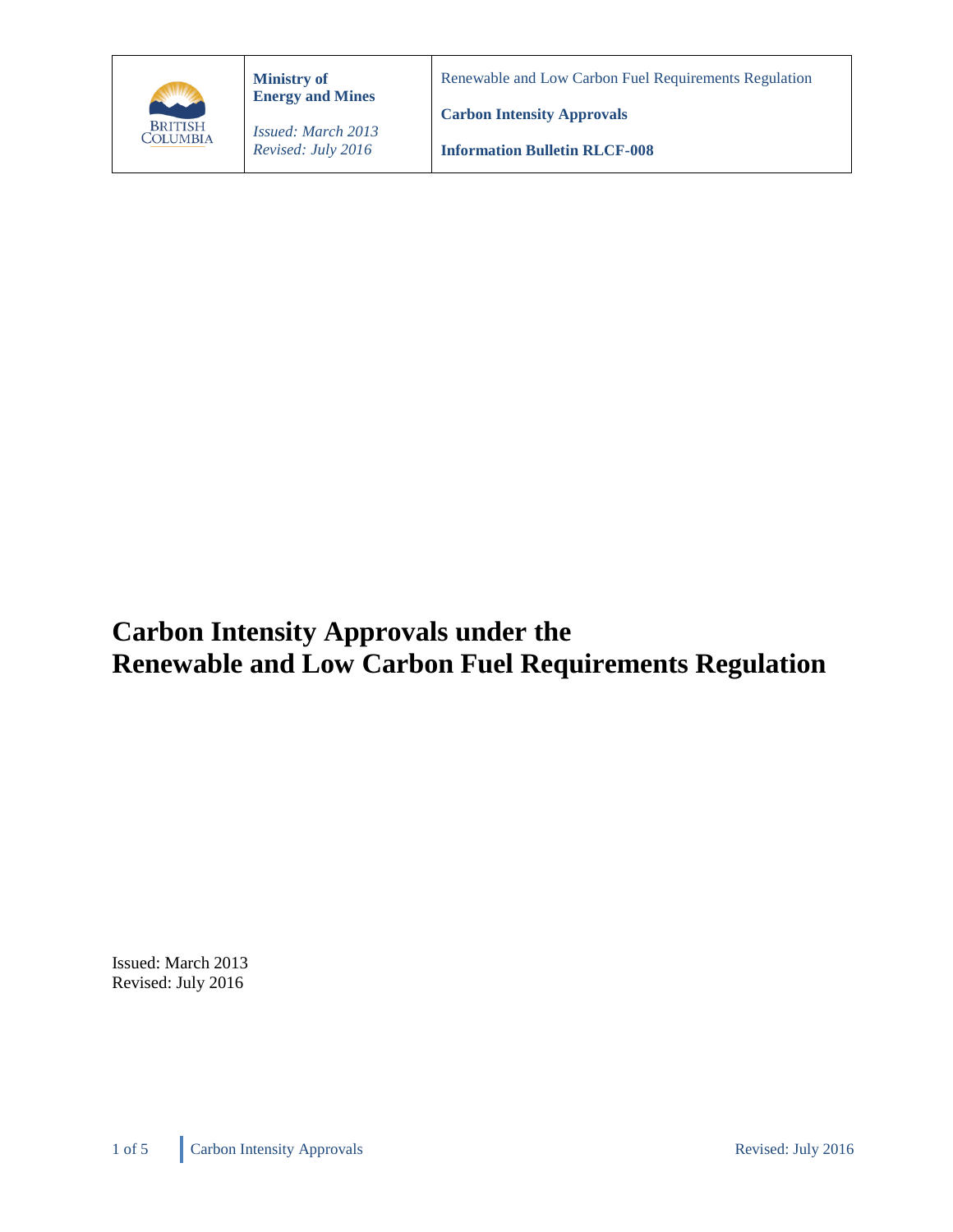

**Ministry of Energy and Mines** Renewable and Low Carbon Fuel Requirements Regulation

*Issued: March 2013 Revised: July 2016*

**Information Bulletin RLCF-008**

**Carbon Intensity Approvals**

# **Carbon Intensity Approvals under the Renewable and Low Carbon Fuel Requirements Regulation**

Issued: March 2013 Revised: July 2016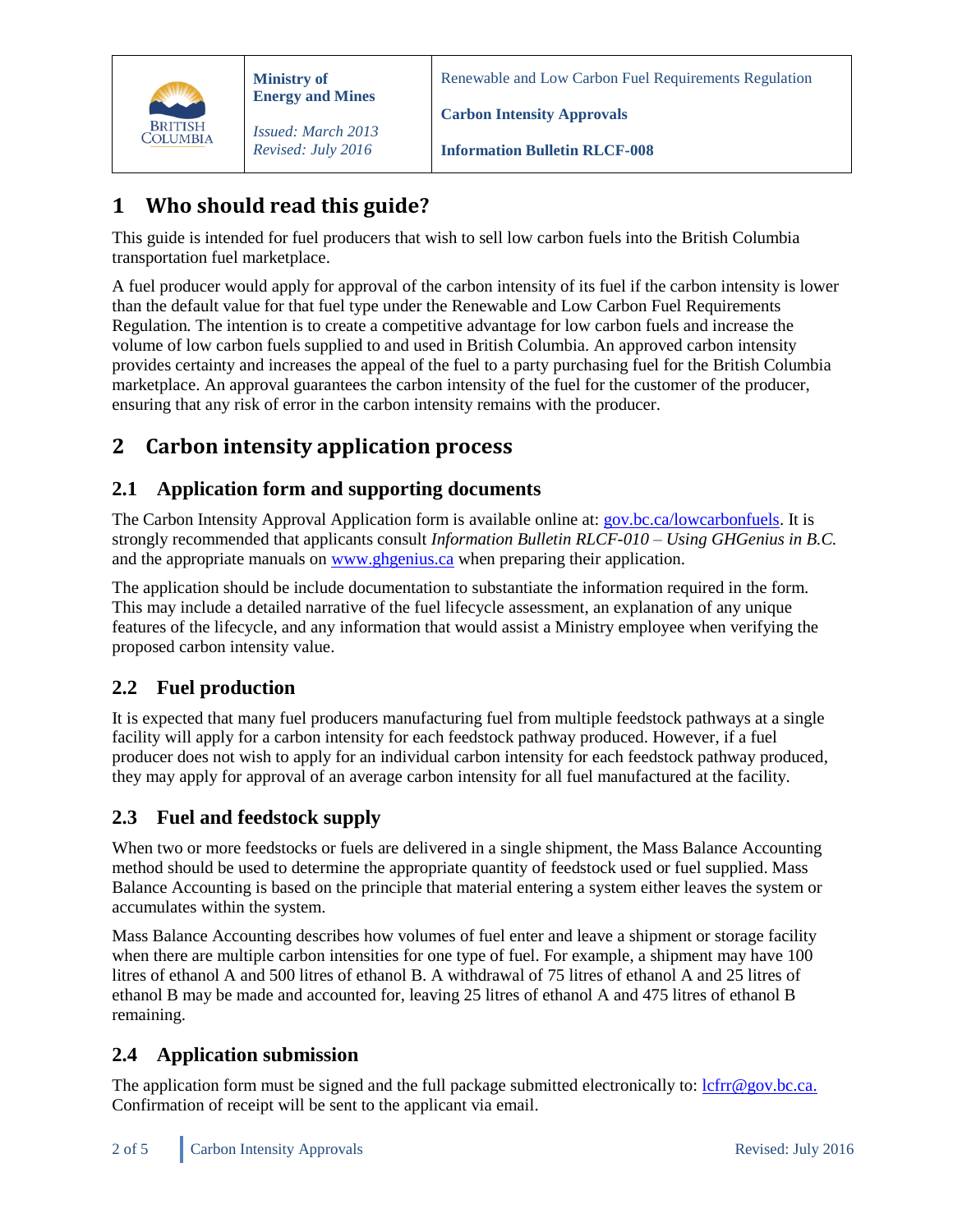

**Ministry of Energy and Mines**

*Issued: March 2013 Revised: July 2016*

Renewable and Low Carbon Fuel Requirements Regulation

**Carbon Intensity Approvals**

**Information Bulletin RLCF-008**

## **1 Who should read this guide?**

This guide is intended for fuel producers that wish to sell low carbon fuels into the British Columbia transportation fuel marketplace.

A fuel producer would apply for approval of the carbon intensity of its fuel if the carbon intensity is lower than the default value for that fuel type under the Renewable and Low Carbon Fuel Requirements Regulation*.* The intention is to create a competitive advantage for low carbon fuels and increase the volume of low carbon fuels supplied to and used in British Columbia. An approved carbon intensity provides certainty and increases the appeal of the fuel to a party purchasing fuel for the British Columbia marketplace. An approval guarantees the carbon intensity of the fuel for the customer of the producer, ensuring that any risk of error in the carbon intensity remains with the producer.

### **2 Carbon intensity application process**

#### **2.1 Application form and supporting documents**

The Carbon Intensity Approval Application form is available online at: [gov.bc.ca/lowcarbonfuels.](http://gov.bc.ca/lowcarbonfuels) It is strongly recommended that applicants consult *Information Bulletin RLCF-010 – Using GHGenius in B.C.* and the appropriate manuals on [www.ghgenius.ca](http://www.ghgenius.ca/) when preparing their application.

The application should be include documentation to substantiate the information required in the form. This may include a detailed narrative of the fuel lifecycle assessment, an explanation of any unique features of the lifecycle, and any information that would assist a Ministry employee when verifying the proposed carbon intensity value.

#### **2.2 Fuel production**

It is expected that many fuel producers manufacturing fuel from multiple feedstock pathways at a single facility will apply for a carbon intensity for each feedstock pathway produced. However, if a fuel producer does not wish to apply for an individual carbon intensity for each feedstock pathway produced, they may apply for approval of an average carbon intensity for all fuel manufactured at the facility.

#### **2.3 Fuel and feedstock supply**

When two or more feedstocks or fuels are delivered in a single shipment, the Mass Balance Accounting method should be used to determine the appropriate quantity of feedstock used or fuel supplied. Mass Balance Accounting is based on the principle that material entering a system either leaves the system or accumulates within the system.

Mass Balance Accounting describes how volumes of fuel enter and leave a shipment or storage facility when there are multiple carbon intensities for one type of fuel. For example, a shipment may have 100 litres of ethanol A and 500 litres of ethanol B. A withdrawal of 75 litres of ethanol A and 25 litres of ethanol B may be made and accounted for, leaving 25 litres of ethanol A and 475 litres of ethanol B remaining.

#### **2.4 Application submission**

The application form must be signed and the full package submitted electronically to:  $\frac{\text{left}}{\text{cfr} \omega}$ gov.bc.ca. Confirmation of receipt will be sent to the applicant via email.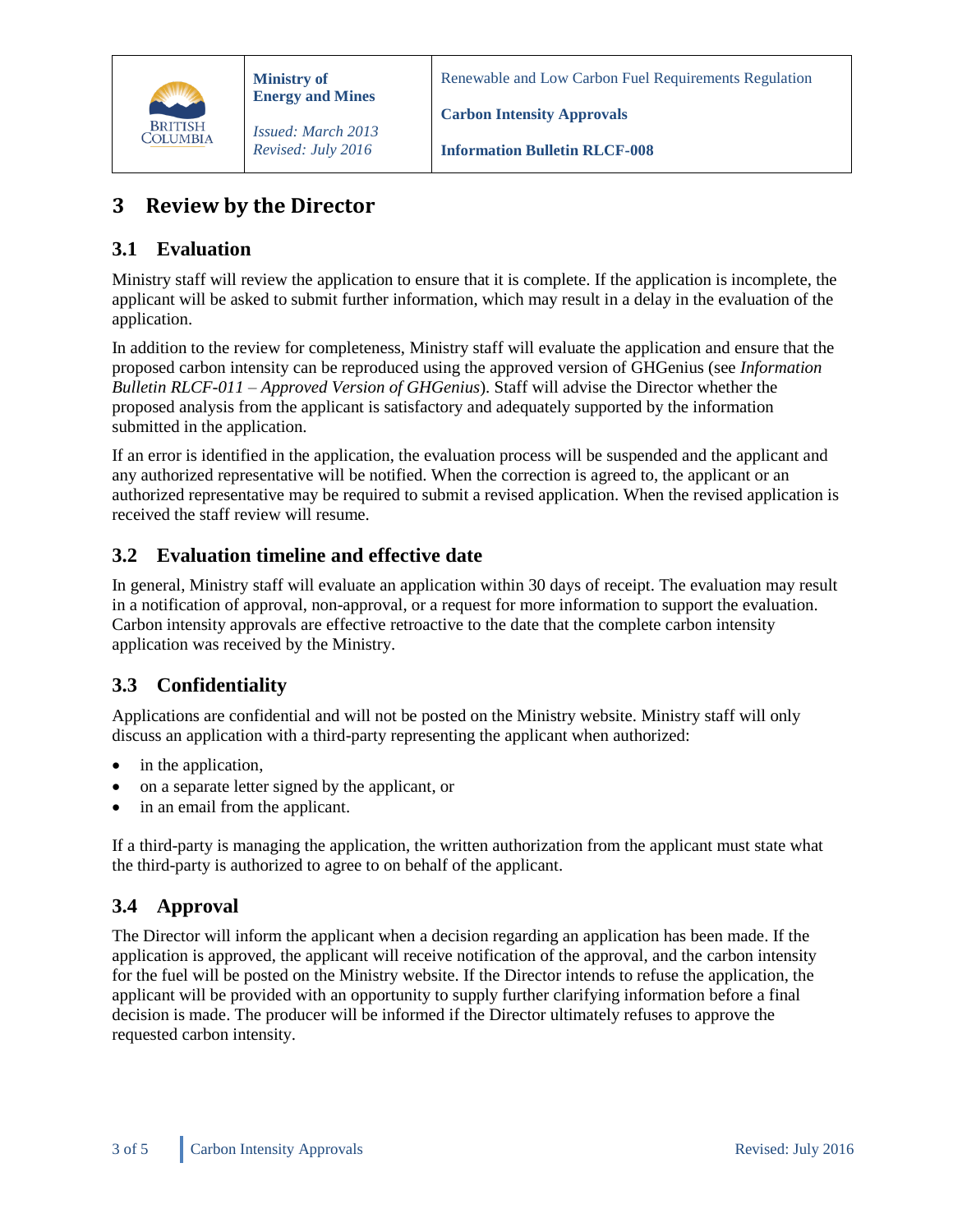

Renewable and Low Carbon Fuel Requirements Regulation

**Carbon Intensity Approvals**

**Information Bulletin RLCF-008**

### **3 Review by the Director**

#### **3.1 Evaluation**

Ministry staff will review the application to ensure that it is complete. If the application is incomplete, the applicant will be asked to submit further information, which may result in a delay in the evaluation of the application.

In addition to the review for completeness, Ministry staff will evaluate the application and ensure that the proposed carbon intensity can be reproduced using the approved version of GHGenius (see *Information Bulletin RLCF-011 – Approved Version of GHGenius*). Staff will advise the Director whether the proposed analysis from the applicant is satisfactory and adequately supported by the information submitted in the application.

If an error is identified in the application, the evaluation process will be suspended and the applicant and any authorized representative will be notified. When the correction is agreed to, the applicant or an authorized representative may be required to submit a revised application. When the revised application is received the staff review will resume.

#### **3.2 Evaluation timeline and effective date**

In general, Ministry staff will evaluate an application within 30 days of receipt. The evaluation may result in a notification of approval, non-approval, or a request for more information to support the evaluation. Carbon intensity approvals are effective retroactive to the date that the complete carbon intensity application was received by the Ministry.

#### **3.3 Confidentiality**

Applications are confidential and will not be posted on the Ministry website. Ministry staff will only discuss an application with a third-party representing the applicant when authorized:

- in the application,
- on a separate letter signed by the applicant, or
- in an email from the applicant.

If a third-party is managing the application, the written authorization from the applicant must state what the third-party is authorized to agree to on behalf of the applicant.

#### **3.4 Approval**

The Director will inform the applicant when a decision regarding an application has been made. If the application is approved, the applicant will receive notification of the approval, and the carbon intensity for the fuel will be posted on the Ministry website. If the Director intends to refuse the application, the applicant will be provided with an opportunity to supply further clarifying information before a final decision is made. The producer will be informed if the Director ultimately refuses to approve the requested carbon intensity.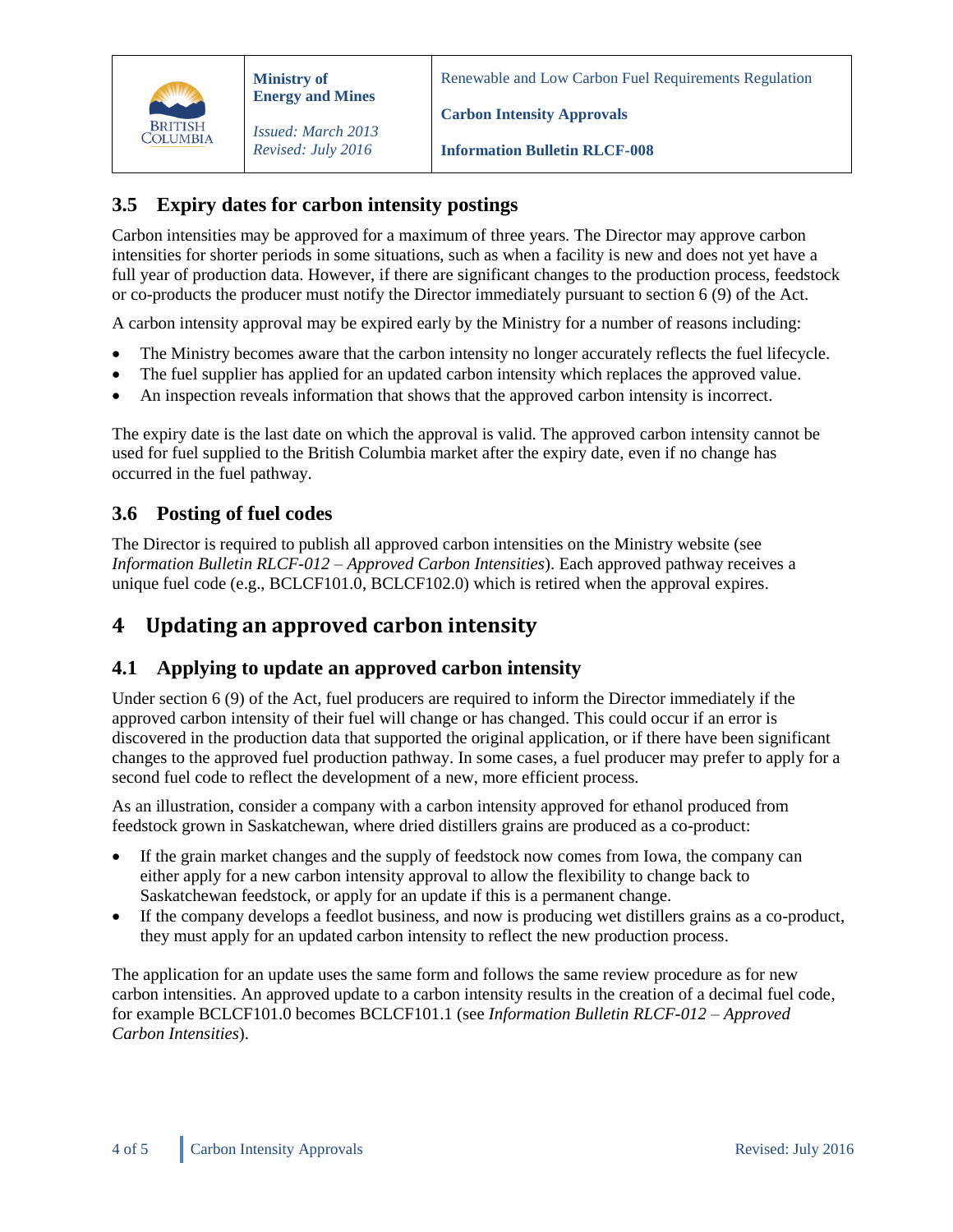

Renewable and Low Carbon Fuel Requirements Regulation

**Carbon Intensity Approvals**

*Issued: March 2013 Revised: July 2016*

**Information Bulletin RLCF-008**

#### **3.5 Expiry dates for carbon intensity postings**

Carbon intensities may be approved for a maximum of three years. The Director may approve carbon intensities for shorter periods in some situations, such as when a facility is new and does not yet have a full year of production data. However, if there are significant changes to the production process, feedstock or co-products the producer must notify the Director immediately pursuant to section 6 (9) of the Act.

A carbon intensity approval may be expired early by the Ministry for a number of reasons including:

- The Ministry becomes aware that the carbon intensity no longer accurately reflects the fuel lifecycle.
- The fuel supplier has applied for an updated carbon intensity which replaces the approved value.
- An inspection reveals information that shows that the approved carbon intensity is incorrect.

The expiry date is the last date on which the approval is valid. The approved carbon intensity cannot be used for fuel supplied to the British Columbia market after the expiry date, even if no change has occurred in the fuel pathway.

#### **3.6 Posting of fuel codes**

The Director is required to publish all approved carbon intensities on the Ministry website (see *Information Bulletin RLCF-012 – Approved Carbon Intensities*). Each approved pathway receives a unique fuel code (e.g., BCLCF101.0, BCLCF102.0) which is retired when the approval expires.

### **4 Updating an approved carbon intensity**

#### **4.1 Applying to update an approved carbon intensity**

Under section 6 (9) of the Act, fuel producers are required to inform the Director immediately if the approved carbon intensity of their fuel will change or has changed. This could occur if an error is discovered in the production data that supported the original application, or if there have been significant changes to the approved fuel production pathway. In some cases, a fuel producer may prefer to apply for a second fuel code to reflect the development of a new, more efficient process.

As an illustration, consider a company with a carbon intensity approved for ethanol produced from feedstock grown in Saskatchewan, where dried distillers grains are produced as a co-product:

- If the grain market changes and the supply of feedstock now comes from Iowa, the company can either apply for a new carbon intensity approval to allow the flexibility to change back to Saskatchewan feedstock, or apply for an update if this is a permanent change.
- If the company develops a feedlot business, and now is producing wet distillers grains as a co-product, they must apply for an updated carbon intensity to reflect the new production process.

The application for an update uses the same form and follows the same review procedure as for new carbon intensities. An approved update to a carbon intensity results in the creation of a decimal fuel code, for example BCLCF101.0 becomes BCLCF101.1 (see *Information Bulletin RLCF-012 – Approved Carbon Intensities*).